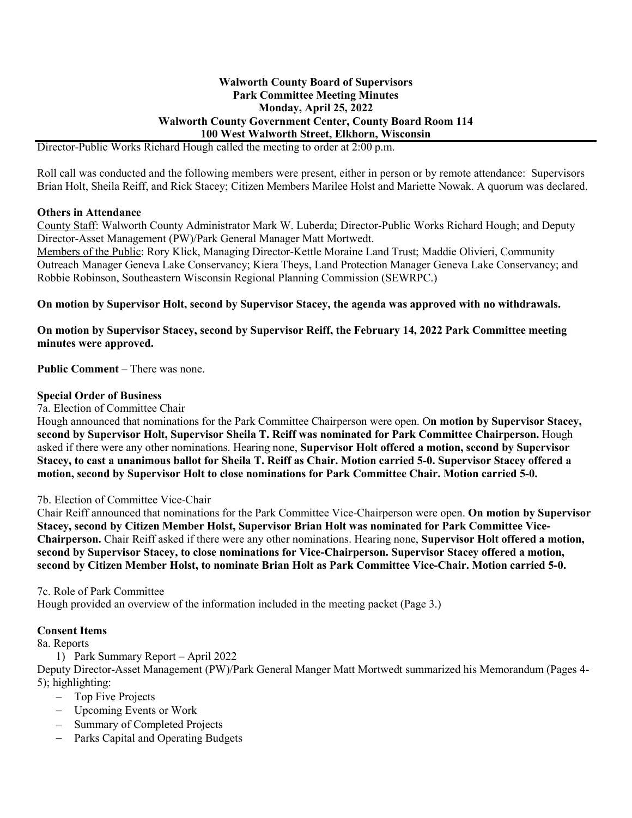#### **Walworth County Board of Supervisors Park Committee Meeting Minutes Monday, April 25, 2022 Walworth County Government Center, County Board Room 114 100 West Walworth Street, Elkhorn, Wisconsin**

Director-Public Works Richard Hough called the meeting to order at 2:00 p.m.

Roll call was conducted and the following members were present, either in person or by remote attendance: Supervisors Brian Holt, Sheila Reiff, and Rick Stacey; Citizen Members Marilee Holst and Mariette Nowak. A quorum was declared.

### **Others in Attendance**

County Staff: Walworth County Administrator Mark W. Luberda; Director-Public Works Richard Hough; and Deputy Director-Asset Management (PW)/Park General Manager Matt Mortwedt.

Members of the Public: Rory Klick, Managing Director-Kettle Moraine Land Trust; Maddie Olivieri, Community Outreach Manager Geneva Lake Conservancy; Kiera Theys, Land Protection Manager Geneva Lake Conservancy; and Robbie Robinson, Southeastern Wisconsin Regional Planning Commission (SEWRPC.)

**On motion by Supervisor Holt, second by Supervisor Stacey, the agenda was approved with no withdrawals.**

**On motion by Supervisor Stacey, second by Supervisor Reiff, the February 14, 2022 Park Committee meeting minutes were approved.**

**Public Comment** – There was none.

#### **Special Order of Business**

7a. Election of Committee Chair

Hough announced that nominations for the Park Committee Chairperson were open. O**n motion by Supervisor Stacey, second by Supervisor Holt, Supervisor Sheila T. Reiff was nominated for Park Committee Chairperson.** Hough asked if there were any other nominations. Hearing none, **Supervisor Holt offered a motion, second by Supervisor Stacey, to cast a unanimous ballot for Sheila T. Reiff as Chair. Motion carried 5-0. Supervisor Stacey offered a motion, second by Supervisor Holt to close nominations for Park Committee Chair. Motion carried 5-0.**

7b. Election of Committee Vice-Chair

Chair Reiff announced that nominations for the Park Committee Vice-Chairperson were open. **On motion by Supervisor Stacey, second by Citizen Member Holst, Supervisor Brian Holt was nominated for Park Committee Vice-Chairperson.** Chair Reiff asked if there were any other nominations. Hearing none, **Supervisor Holt offered a motion, second by Supervisor Stacey, to close nominations for Vice-Chairperson. Supervisor Stacey offered a motion, second by Citizen Member Holst, to nominate Brian Holt as Park Committee Vice-Chair. Motion carried 5-0.**

#### 7c. Role of Park Committee

Hough provided an overview of the information included in the meeting packet (Page 3.)

#### **Consent Items**

8a. Reports

1) Park Summary Report – April 2022

Deputy Director-Asset Management (PW)/Park General Manger Matt Mortwedt summarized his Memorandum (Pages 4- 5); highlighting:

- − Top Five Projects
- − Upcoming Events or Work
- − Summary of Completed Projects
- − Parks Capital and Operating Budgets